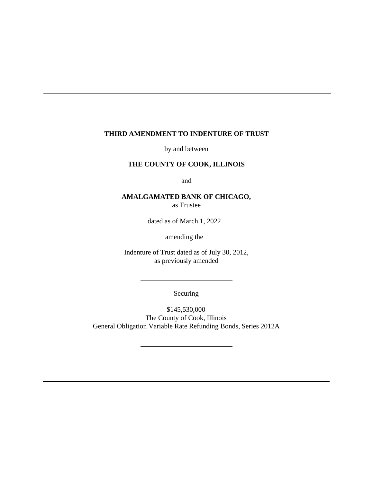#### **THIRD AMENDMENT TO INDENTURE OF TRUST**

by and between

# **THE COUNTY OF COOK, ILLINOIS**

and

# **AMALGAMATED BANK OF CHICAGO,**

as Trustee

dated as of March 1, 2022

amending the

Indenture of Trust dated as of July 30, 2012, as previously amended

Securing

\$145,530,000 The County of Cook, Illinois General Obligation Variable Rate Refunding Bonds, Series 2012A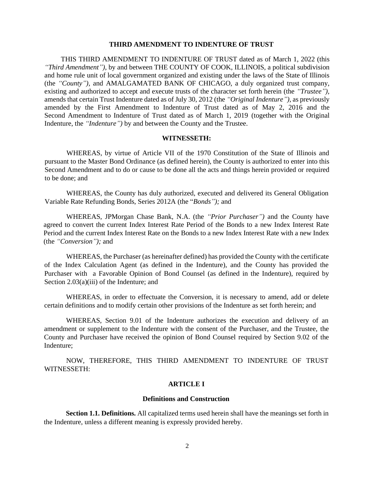#### **THIRD AMENDMENT TO INDENTURE OF TRUST**

THIS THIRD AMENDMENT TO INDENTURE OF TRUST dated as of March 1, 2022 (this *"Third Amendment"),* by and between THE COUNTY OF COOK, ILLINOIS, a political subdivision and home rule unit of local government organized and existing under the laws of the State of Illinois (the *"County"),* and AMALGAMATED BANK OF CHICAGO, a duly organized trust company, existing and authorized to accept and execute trusts of the character set forth herein (the *"Trustee"),*  amends that certain Trust Indenture dated as of July 30, 2012 (the *"Original Indenture"),* as previously amended by the First Amendment to Indenture of Trust dated as of May 2, 2016 and the Second Amendment to Indenture of Trust dated as of March 1, 2019 (together with the Original Indenture, the *"Indenture")* by and between the County and the Trustee.

#### **WITNESSETH:**

WHEREAS, by virtue of Article VII of the 1970 Constitution of the State of Illinois and pursuant to the Master Bond Ordinance (as defined herein), the County is authorized to enter into this Second Amendment and to do or cause to be done all the acts and things herein provided or required to be done; and

WHEREAS, the County has duly authorized, executed and delivered its General Obligation Variable Rate Refunding Bonds, Series 2012A (the "*Bonds");* and

WHEREAS, JPMorgan Chase Bank, N.A. (the *"Prior Purchaser")* and the County have agreed to convert the current Index Interest Rate Period of the Bonds to a new Index Interest Rate Period and the current Index Interest Rate on the Bonds to a new Index Interest Rate with a new Index (the *"Conversion");* and

WHEREAS, the Purchaser (as hereinafter defined) has provided the County with the certificate of the Index Calculation Agent (as defined in the Indenture), and the County has provided the Purchaser with a Favorable Opinion of Bond Counsel (as defined in the Indenture), required by Section 2.03(a)(iii) of the Indenture; and

WHEREAS, in order to effectuate the Conversion, it is necessary to amend, add or delete certain definitions and to modify certain other provisions of the Indenture as set forth herein; and

WHEREAS, Section 9.01 of the Indenture authorizes the execution and delivery of an amendment or supplement to the Indenture with the consent of the Purchaser, and the Trustee, the County and Purchaser have received the opinion of Bond Counsel required by Section 9.02 of the Indenture;

NOW, THEREFORE, THIS THIRD AMENDMENT TO INDENTURE OF TRUST WITNESSETH:

## **ARTICLE I**

#### **Definitions and Construction**

**Section 1.1. Definitions.** All capitalized terms used herein shall have the meanings set forth in the Indenture, unless a different meaning is expressly provided hereby.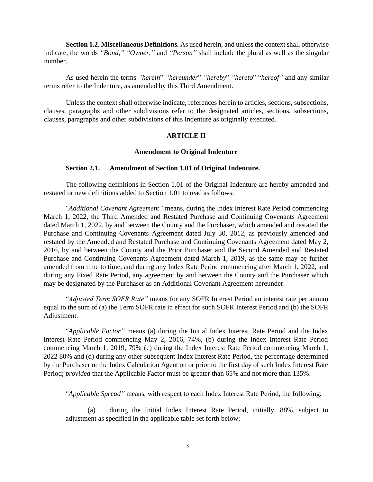**Section 1.2. Miscellaneous Definitions.** As used herein, and unless the context shall otherwise indicate, the words *"Bond," "Owner,"* and *"Person"* shall include the plural as well as the singular number.

As used herein the terms *"herein*" *"hereunder*" *"hereby*" *"hereto*" "*hereof"* and any similar terms refer to the Indenture, as amended by this Third Amendment.

Unless the context shall otherwise indicate, references herein to articles, sections, subsections, clauses, paragraphs and other subdivisions refer to the designated articles, sections, subsections, clauses, paragraphs and other subdivisions of this Indenture as originally executed.

# **ARTICLE II**

## **Amendment to Original Indenture**

#### **Section 2.1. Amendment of Section 1.01 of Original Indenture.**

The following definitions in Section 1.01 of the Original Indenture are hereby amended and restated or new definitions added to Section 1.01 to read as follows:

*"Additional Covenant Agreement"* means, during the Index Interest Rate Period commencing March 1, 2022, the Third Amended and Restated Purchase and Continuing Covenants Agreement dated March 1, 2022, by and between the County and the Purchaser, which amended and restated the Purchase and Continuing Covenants Agreement dated July 30, 2012, as previously amended and restated by the Amended and Restated Purchase and Continuing Covenants Agreement dated May 2, 2016, by and between the County and the Prior Purchaser and the Second Amended and Restated Purchase and Continuing Covenants Agreement dated March 1, 2019, as the same may be further amended from time to time, and during any Index Rate Period commencing after March 1, 2022, and during any Fixed Rate Period, any agreement by and between the County and the Purchaser which may be designated by the Purchaser as an Additional Covenant Agreement hereunder.

*"Adjusted Term SOFR Rate"* means for any SOFR Interest Period an interest rate per annum equal to the sum of (a) the Term SOFR rate in effect for such SOFR Interest Period and (b) the SOFR Adjustment.

*"Applicable Factor"* means (a) during the Initial Index Interest Rate Period and the Index Interest Rate Period commencing May 2, 2016, 74%, (b) during the Index Interest Rate Period commencing March 1, 2019, 79% (c) during the Index Interest Rate Period commencing March 1, 2022 80% and (d) during any other subsequent Index Interest Rate Period, the percentage determined by the Purchaser or the Index Calculation Agent on or prior to the first day of such Index Interest Rate Period; *provided* that the Applicable Factor must be greater than 65% and not more than 135%.

*"Applicable Spread"* means, with respect to each Index Interest Rate Period, the following:

(a) during the Initial Index Interest Rate Period, initially .88%, subject to adjustment as specified in the applicable table set forth below;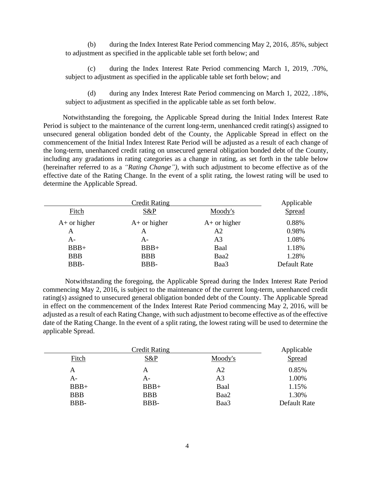(b) during the Index Interest Rate Period commencing May 2, 2016, .85%, subject to adjustment as specified in the applicable table set forth below; and

(c) during the Index Interest Rate Period commencing March 1, 2019, .70%, subject to adjustment as specified in the applicable table set forth below; and

(d) during any Index Interest Rate Period commencing on March 1, 2022, .18%, subject to adjustment as specified in the applicable table as set forth below.

Notwithstanding the foregoing, the Applicable Spread during the Initial Index Interest Rate Period is subject to the maintenance of the current long-term, unenhanced credit rating(s) assigned to unsecured general obligation bonded debt of the County, the Applicable Spread in effect on the commencement of the Initial Index Interest Rate Period will be adjusted as a result of each change of the long-term, unenhanced credit rating on unsecured general obligation bonded debt of the County, including any gradations in rating categories as a change in rating, as set forth in the table below (hereinafter referred to as a *"Rating Change"),* with such adjustment to become effective as of the effective date of the Rating Change. In the event of a split rating, the lowest rating will be used to determine the Applicable Spread.

| <b>Credit Rating</b> |                |                | Applicable   |
|----------------------|----------------|----------------|--------------|
| Fitch                | S&P            | Moody's        | Spread       |
| $A+$ or higher       | $A+$ or higher | $A+$ or higher | 0.88%        |
| A                    | A              | A <sub>2</sub> | 0.98%        |
| A-                   | A-             | A <sub>3</sub> | 1.08%        |
| $BBB+$               | $BBB+$         | Baal           | 1.18%        |
| <b>BBB</b>           | <b>BBB</b>     | Baa2           | 1.28%        |
| BBB-                 | BBB-           | Baa3           | Default Rate |

Notwithstanding the foregoing, the Applicable Spread during the Index Interest Rate Period commencing May 2, 2016, is subject to the maintenance of the current long-term, unenhanced credit rating(s) assigned to unsecured general obligation bonded debt of the County. The Applicable Spread in effect on the commencement of the Index Interest Rate Period commencing May 2, 2016, will be adjusted as a result of each Rating Change, with such adjustment to become effective as of the effective date of the Rating Change. In the event of a split rating, the lowest rating will be used to determine the applicable Spread.

| <b>Credit Rating</b> |            |         | Applicable   |
|----------------------|------------|---------|--------------|
| Fitch                | S&P        | Moody's | Spread       |
| Α                    | А          | A2      | 0.85%        |
| A-                   | A-         | A3      | 1.00%        |
| $BBB+$               | $BBB+$     | Baal    | 1.15%        |
| <b>BBB</b>           | <b>BBB</b> | Baa2    | 1.30%        |
| BBB-                 | BBB-       | Baa3    | Default Rate |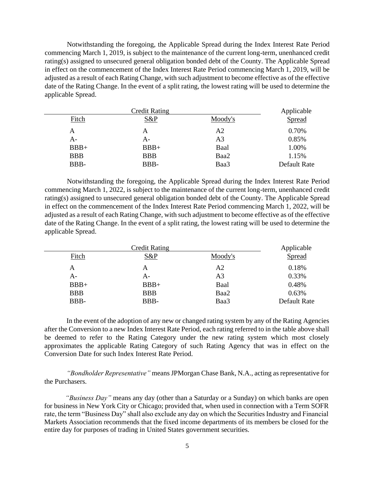Notwithstanding the foregoing, the Applicable Spread during the Index Interest Rate Period commencing March 1, 2019, is subject to the maintenance of the current long-term, unenhanced credit rating(s) assigned to unsecured general obligation bonded debt of the County. The Applicable Spread in effect on the commencement of the Index Interest Rate Period commencing March 1, 2019, will be adjusted as a result of each Rating Change, with such adjustment to become effective as of the effective date of the Rating Change. In the event of a split rating, the lowest rating will be used to determine the applicable Spread.

| <b>Credit Rating</b> |            |                | Applicable   |
|----------------------|------------|----------------|--------------|
| Fitch                | $S\&P$     | Moody's        | Spread       |
| A                    | A          | A <sub>2</sub> | 0.70%        |
| $A -$                | A-         | A3             | 0.85%        |
| $BBB+$               | $BBB+$     | Baal           | 1.00%        |
| <b>BBB</b>           | <b>BBB</b> | Baa2           | 1.15%        |
| BBB-                 | BBB-       | Baa3           | Default Rate |

Notwithstanding the foregoing, the Applicable Spread during the Index Interest Rate Period commencing March 1, 2022, is subject to the maintenance of the current long-term, unenhanced credit rating(s) assigned to unsecured general obligation bonded debt of the County. The Applicable Spread in effect on the commencement of the Index Interest Rate Period commencing March 1, 2022, will be adjusted as a result of each Rating Change, with such adjustment to become effective as of the effective date of the Rating Change. In the event of a split rating, the lowest rating will be used to determine the applicable Spread.

| Credit Rating |            |         | Applicable   |
|---------------|------------|---------|--------------|
| Fitch         | $S\&P$     | Moody's | Spread       |
| A             | А          | A2      | 0.18%        |
| A-            | А-         | A3      | 0.33%        |
| $BBB+$        | $BBB+$     | Baal    | 0.48%        |
| <b>BBB</b>    | <b>BBB</b> | Baa2    | 0.63%        |
| BBB-          | BBB-       | Baa3    | Default Rate |

In the event of the adoption of any new or changed rating system by any of the Rating Agencies after the Conversion to a new Index Interest Rate Period, each rating referred to in the table above shall be deemed to refer to the Rating Category under the new rating system which most closely approximates the applicable Rating Category of such Rating Agency that was in effect on the Conversion Date for such Index Interest Rate Period.

*"Bondholder Representative"* means JPMorgan Chase Bank, N.A., acting as representative for the Purchasers.

*"Business Day"* means any day (other than a Saturday or a Sunday) on which banks are open for business in New York City or Chicago; provided that, when used in connection with a Term SOFR rate, the term "Business Day" shall also exclude any day on which the Securities Industry and Financial Markets Association recommends that the fixed income departments of its members be closed for the entire day for purposes of trading in United States government securities.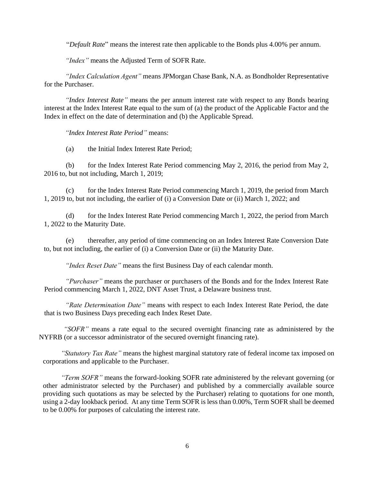"*Default Rate*" means the interest rate then applicable to the Bonds plus 4.00% per annum.

*"Index"* means the Adjusted Term of SOFR Rate.

*"Index Calculation Agent"* means JPMorgan Chase Bank, N.A. as Bondholder Representative for the Purchaser.

*"Index Interest Rate"* means the per annum interest rate with respect to any Bonds bearing interest at the Index Interest Rate equal to the sum of (a) the product of the Applicable Factor and the Index in effect on the date of determination and (b) the Applicable Spread.

*"Index Interest Rate Period"* means:

(a) the Initial Index Interest Rate Period;

(b) for the Index Interest Rate Period commencing May 2, 2016, the period from May 2, 2016 to, but not including, March 1, 2019;

(c) for the Index Interest Rate Period commencing March 1, 2019, the period from March 1, 2019 to, but not including, the earlier of (i) a Conversion Date or (ii) March 1, 2022; and

(d) for the Index Interest Rate Period commencing March 1, 2022, the period from March 1, 2022 to the Maturity Date.

(e) thereafter, any period of time commencing on an Index Interest Rate Conversion Date to, but not including, the earlier of (i) a Conversion Date or (ii) the Maturity Date.

*"Index Reset Date"* means the first Business Day of each calendar month.

*"Purchaser"* means the purchaser or purchasers of the Bonds and for the Index Interest Rate Period commencing March 1, 2022, DNT Asset Trust, a Delaware business trust.

*"Rate Determination Date"* means with respect to each Index Interest Rate Period, the date that is two Business Days preceding each Index Reset Date.

*"SOFR"* means a rate equal to the secured overnight financing rate as administered by the NYFRB (or a successor administrator of the secured overnight financing rate).

*"Statutory Tax Rate"* means the highest marginal statutory rate of federal income tax imposed on corporations and applicable to the Purchaser.

*"Term SOFR"* means the forward-looking SOFR rate administered by the relevant governing (or other administrator selected by the Purchaser) and published by a commercially available source providing such quotations as may be selected by the Purchaser) relating to quotations for one month, using a 2-day lookback period. At any time Term SOFR is less than 0.00%, Term SOFR shall be deemed to be 0.00% for purposes of calculating the interest rate.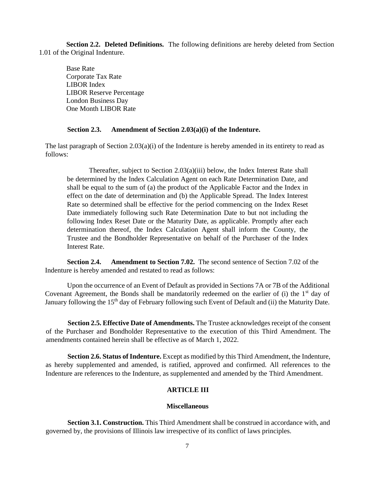**Section 2.2. Deleted Definitions.** The following definitions are hereby deleted from Section 1.01 of the Original Indenture.

Base Rate Corporate Tax Rate LIBOR Index LIBOR Reserve Percentage London Business Day One Month LIBOR Rate

#### **Section 2.3. Amendment of Section 2.03(a)(i) of the Indenture.**

The last paragraph of Section 2.03(a)(i) of the Indenture is hereby amended in its entirety to read as follows:

Thereafter, subject to Section 2.03(a)(iii) below, the Index Interest Rate shall be determined by the Index Calculation Agent on each Rate Determination Date, and shall be equal to the sum of (a) the product of the Applicable Factor and the Index in effect on the date of determination and (b) the Applicable Spread. The Index Interest Rate so determined shall be effective for the period commencing on the Index Reset Date immediately following such Rate Determination Date to but not including the following Index Reset Date or the Maturity Date, as applicable. Promptly after each determination thereof, the Index Calculation Agent shall inform the County, the Trustee and the Bondholder Representative on behalf of the Purchaser of the Index Interest Rate.

**Section 2.4. Amendment to Section 7.02.** The second sentence of Section 7.02 of the Indenture is hereby amended and restated to read as follows:

Upon the occurrence of an Event of Default as provided in Sections 7A or 7B of the Additional Covenant Agreement, the Bonds shall be mandatorily redeemed on the earlier of (i) the  $1<sup>st</sup>$  day of January following the 15<sup>th</sup> day of February following such Event of Default and (ii) the Maturity Date.

**Section 2.5. Effective Date of Amendments.** The Trustee acknowledges receipt of the consent of the Purchaser and Bondholder Representative to the execution of this Third Amendment. The amendments contained herein shall be effective as of March 1, 2022.

**Section 2.6. Status of Indenture.** Except as modified by this Third Amendment, the Indenture, as hereby supplemented and amended, is ratified, approved and confirmed. All references to the Indenture are references to the Indenture, as supplemented and amended by the Third Amendment.

## **ARTICLE III**

#### **Miscellaneous**

**Section 3.1. Construction.** This Third Amendment shall be construed in accordance with, and governed by, the provisions of Illinois law irrespective of its conflict of laws principles.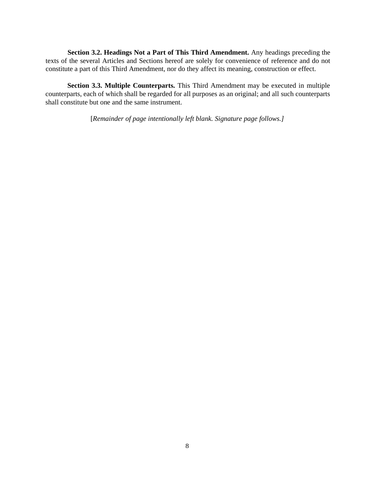**Section 3.2. Headings Not a Part of This Third Amendment.** Any headings preceding the texts of the several Articles and Sections hereof are solely for convenience of reference and do not constitute a part of this Third Amendment, nor do they affect its meaning, construction or effect.

**Section 3.3. Multiple Counterparts.** This Third Amendment may be executed in multiple counterparts, each of which shall be regarded for all purposes as an original; and all such counterparts shall constitute but one and the same instrument.

[*Remainder of page intentionally left blank. Signature page follows.]*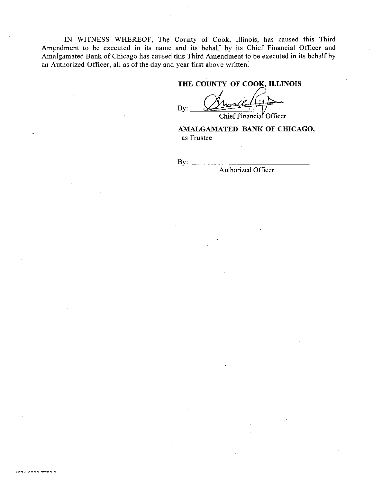IN WITNESS WHEREOF, The County of Cook, Illinois, has caused this Third Amendment to be executed in its name and its behalf by its Chief Financial Officer and Amalgamated Bank of Chicago has caused this Third Amendment to be executed in its behalf by an Authorized Officer, all as of the day and year first above written.

# THE COUNTY OF COOK, ILLINOIS

 $By:$ 

Chief Financial Officer

# AMALGAMATED BANK OF CHICAGO, as Trustee

By:

Authorized Officer